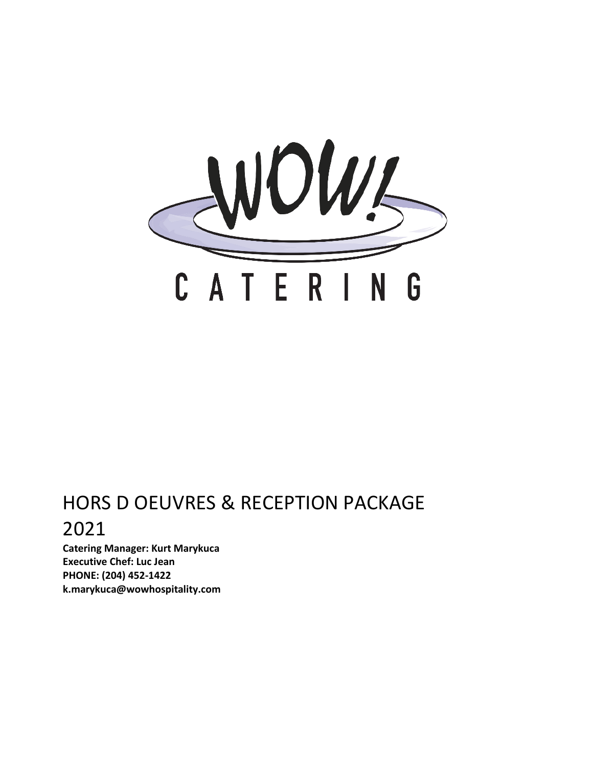

# HORS D OEUVRES & RECEPTION PACKAGE 2021

**Catering Manager: Kurt Marykuca Executive Chef: Luc Jean PHONE: (204) 452-1422 k.marykuca@wowhospitality.com**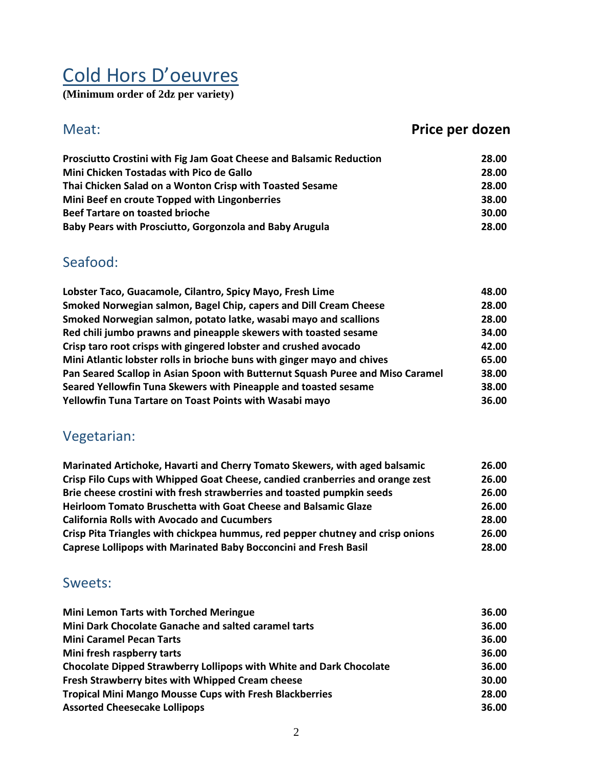# Cold Hors D'oeuvres

**(Minimum order of 2dz per variety)** 

### Meat: **Price per dozen Prosciutto Crostini with Fig Jam Goat Cheese and Balsamic Reduction 28.00 Mini Chicken Tostadas with Pico de Gallo 28.00 Thai Chicken Salad on a Wonton Crisp with Toasted Sesame 28.00 Mini Beef en croute Topped with Lingonberries 38.00 Beef Tartare on toasted brioche** 30.00 **Beef Tartare on toasted brioche** 30.00 **30.00 Baby Pears with Prosciutto, Gorgonzola and Baby Arugula 28.00**

### Seafood:

| Lobster Taco, Guacamole, Cilantro, Spicy Mayo, Fresh Lime                      | 48.00 |
|--------------------------------------------------------------------------------|-------|
| Smoked Norwegian salmon, Bagel Chip, capers and Dill Cream Cheese              | 28.00 |
| Smoked Norwegian salmon, potato latke, wasabi mayo and scallions               | 28.00 |
| Red chili jumbo prawns and pineapple skewers with toasted sesame               | 34.00 |
| Crisp taro root crisps with gingered lobster and crushed avocado               | 42.00 |
| Mini Atlantic lobster rolls in brioche buns with ginger mayo and chives        | 65.00 |
| Pan Seared Scallop in Asian Spoon with Butternut Squash Puree and Miso Caramel | 38.00 |
| Seared Yellowfin Tuna Skewers with Pineapple and toasted sesame                | 38.00 |
| Yellowfin Tuna Tartare on Toast Points with Wasabi mayo                        | 36.00 |

### Vegetarian:

| Marinated Artichoke, Havarti and Cherry Tomato Skewers, with aged balsamic     | 26.00 |
|--------------------------------------------------------------------------------|-------|
| Crisp Filo Cups with Whipped Goat Cheese, candied cranberries and orange zest  | 26.00 |
| Brie cheese crostini with fresh strawberries and toasted pumpkin seeds         | 26.00 |
| Heirloom Tomato Bruschetta with Goat Cheese and Balsamic Glaze                 | 26.00 |
| <b>California Rolls with Avocado and Cucumbers</b>                             | 28.00 |
| Crisp Pita Triangles with chickpea hummus, red pepper chutney and crisp onions | 26.00 |
| <b>Caprese Lollipops with Marinated Baby Bocconcini and Fresh Basil</b>        | 28.00 |

### Sweets:

| <b>Mini Lemon Tarts with Torched Meringue</b>                       | 36.00 |
|---------------------------------------------------------------------|-------|
| Mini Dark Chocolate Ganache and salted caramel tarts                | 36.00 |
| <b>Mini Caramel Pecan Tarts</b>                                     | 36.00 |
| Mini fresh raspberry tarts                                          | 36.00 |
| Chocolate Dipped Strawberry Lollipops with White and Dark Chocolate | 36.00 |
| Fresh Strawberry bites with Whipped Cream cheese                    | 30.00 |
| <b>Tropical Mini Mango Mousse Cups with Fresh Blackberries</b>      | 28.00 |
| <b>Assorted Cheesecake Lollipops</b>                                | 36.00 |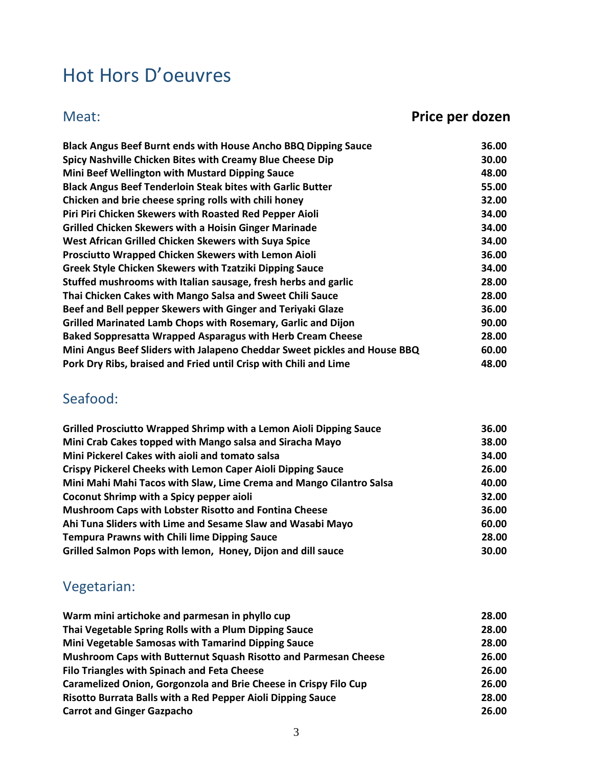# Hot Hors D'oeuvres

# Meat: **Price per dozen**

| Black Angus Beef Burnt ends with House Ancho BBQ Dipping Sauce            | 36.00 |
|---------------------------------------------------------------------------|-------|
| Spicy Nashville Chicken Bites with Creamy Blue Cheese Dip                 | 30.00 |
| Mini Beef Wellington with Mustard Dipping Sauce                           | 48.00 |
| <b>Black Angus Beef Tenderloin Steak bites with Garlic Butter</b>         | 55.00 |
| Chicken and brie cheese spring rolls with chili honey                     | 32.00 |
| Piri Piri Chicken Skewers with Roasted Red Pepper Aioli                   | 34.00 |
| <b>Grilled Chicken Skewers with a Hoisin Ginger Marinade</b>              | 34.00 |
| West African Grilled Chicken Skewers with Suya Spice                      | 34.00 |
| Prosciutto Wrapped Chicken Skewers with Lemon Aioli                       | 36.00 |
| <b>Greek Style Chicken Skewers with Tzatziki Dipping Sauce</b>            | 34.00 |
| Stuffed mushrooms with Italian sausage, fresh herbs and garlic            | 28.00 |
| Thai Chicken Cakes with Mango Salsa and Sweet Chili Sauce                 | 28.00 |
| Beef and Bell pepper Skewers with Ginger and Teriyaki Glaze               | 36.00 |
| Grilled Marinated Lamb Chops with Rosemary, Garlic and Dijon              | 90.00 |
| <b>Baked Soppresatta Wrapped Asparagus with Herb Cream Cheese</b>         | 28.00 |
| Mini Angus Beef Sliders with Jalapeno Cheddar Sweet pickles and House BBQ | 60.00 |
| Pork Dry Ribs, braised and Fried until Crisp with Chili and Lime          | 48.00 |

## Seafood:

| Grilled Prosciutto Wrapped Shrimp with a Lemon Aioli Dipping Sauce  | 36.00 |
|---------------------------------------------------------------------|-------|
| Mini Crab Cakes topped with Mango salsa and Siracha Mayo            | 38.00 |
| Mini Pickerel Cakes with aioli and tomato salsa                     | 34.00 |
| <b>Crispy Pickerel Cheeks with Lemon Caper Aioli Dipping Sauce</b>  | 26.00 |
| Mini Mahi Mahi Tacos with Slaw, Lime Crema and Mango Cilantro Salsa | 40.00 |
| Coconut Shrimp with a Spicy pepper aioli                            | 32.00 |
| <b>Mushroom Caps with Lobster Risotto and Fontina Cheese</b>        | 36.00 |
| Ahi Tuna Sliders with Lime and Sesame Slaw and Wasabi Mayo          | 60.00 |
| <b>Tempura Prawns with Chili lime Dipping Sauce</b>                 | 28.00 |
| Grilled Salmon Pops with lemon, Honey, Dijon and dill sauce         | 30.00 |

# Vegetarian:

| Warm mini artichoke and parmesan in phyllo cup                   | 28.00 |
|------------------------------------------------------------------|-------|
| Thai Vegetable Spring Rolls with a Plum Dipping Sauce            | 28.00 |
| Mini Vegetable Samosas with Tamarind Dipping Sauce               | 28.00 |
| Mushroom Caps with Butternut Squash Risotto and Parmesan Cheese  | 26.00 |
| <b>Filo Triangles with Spinach and Feta Cheese</b>               | 26.00 |
| Caramelized Onion, Gorgonzola and Brie Cheese in Crispy Filo Cup | 26.00 |
| Risotto Burrata Balls with a Red Pepper Aioli Dipping Sauce      | 28.00 |
| <b>Carrot and Ginger Gazpacho</b>                                | 26.00 |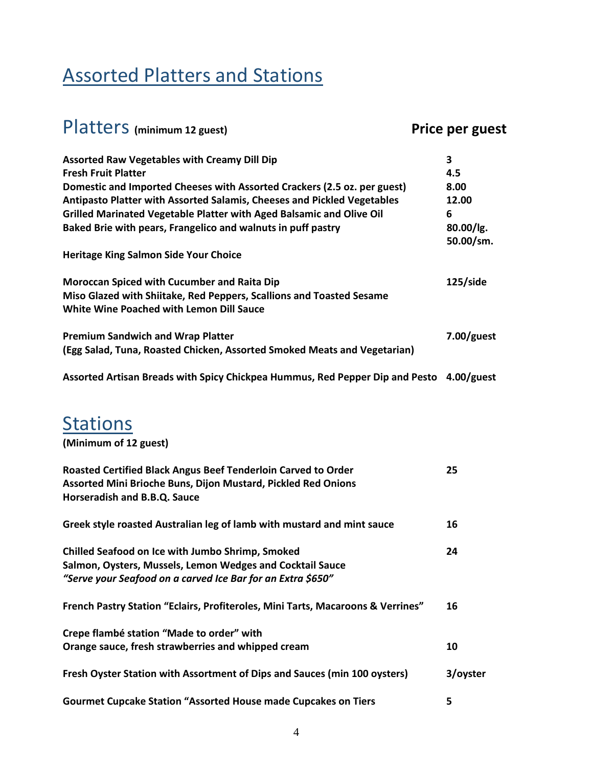# Assorted Platters and Stations

| Platters (minimum 12 guest)                                                                                      | Price per guest |
|------------------------------------------------------------------------------------------------------------------|-----------------|
| <b>Assorted Raw Vegetables with Creamy Dill Dip</b>                                                              | 3               |
| <b>Fresh Fruit Platter</b>                                                                                       | 4.5             |
| Domestic and Imported Cheeses with Assorted Crackers (2.5 oz. per guest)                                         | 8.00            |
| Antipasto Platter with Assorted Salamis, Cheeses and Pickled Vegetables                                          | 12.00           |
| Grilled Marinated Vegetable Platter with Aged Balsamic and Olive Oil                                             | 6               |
| Baked Brie with pears, Frangelico and walnuts in puff pastry                                                     | $80.00$ /lg.    |
|                                                                                                                  | 50.00/sm.       |
| <b>Heritage King Salmon Side Your Choice</b>                                                                     |                 |
| <b>Moroccan Spiced with Cucumber and Raita Dip</b>                                                               | 125/side        |
| Miso Glazed with Shiitake, Red Peppers, Scallions and Toasted Sesame<br>White Wine Poached with Lemon Dill Sauce |                 |
| <b>Premium Sandwich and Wrap Platter</b>                                                                         | $7.00$ /guest   |
| (Egg Salad, Tuna, Roasted Chicken, Assorted Smoked Meats and Vegetarian)                                         |                 |
| Assorted Artisan Breads with Spicy Chickpea Hummus, Red Pepper Dip and Pesto 4.00/guest                          |                 |
|                                                                                                                  |                 |
| <b>Stations</b>                                                                                                  |                 |

**(Minimum of 12 guest)** 

| Roasted Certified Black Angus Beef Tenderloin Carved to Order<br>Assorted Mini Brioche Buns, Dijon Mustard, Pickled Red Onions<br>Horseradish and B.B.Q. Sauce               | 25       |
|------------------------------------------------------------------------------------------------------------------------------------------------------------------------------|----------|
| Greek style roasted Australian leg of lamb with mustard and mint sauce                                                                                                       | 16       |
| Chilled Seafood on Ice with Jumbo Shrimp, Smoked<br>Salmon, Oysters, Mussels, Lemon Wedges and Cocktail Sauce<br>"Serve your Seafood on a carved Ice Bar for an Extra \$650" | 24       |
| French Pastry Station "Eclairs, Profiteroles, Mini Tarts, Macaroons & Verrines"                                                                                              | 16       |
| Crepe flambé station "Made to order" with                                                                                                                                    |          |
| Orange sauce, fresh strawberries and whipped cream                                                                                                                           | 10       |
| Fresh Oyster Station with Assortment of Dips and Sauces (min 100 oysters)                                                                                                    | 3/oyster |
| <b>Gourmet Cupcake Station "Assorted House made Cupcakes on Tiers</b>                                                                                                        | 5        |